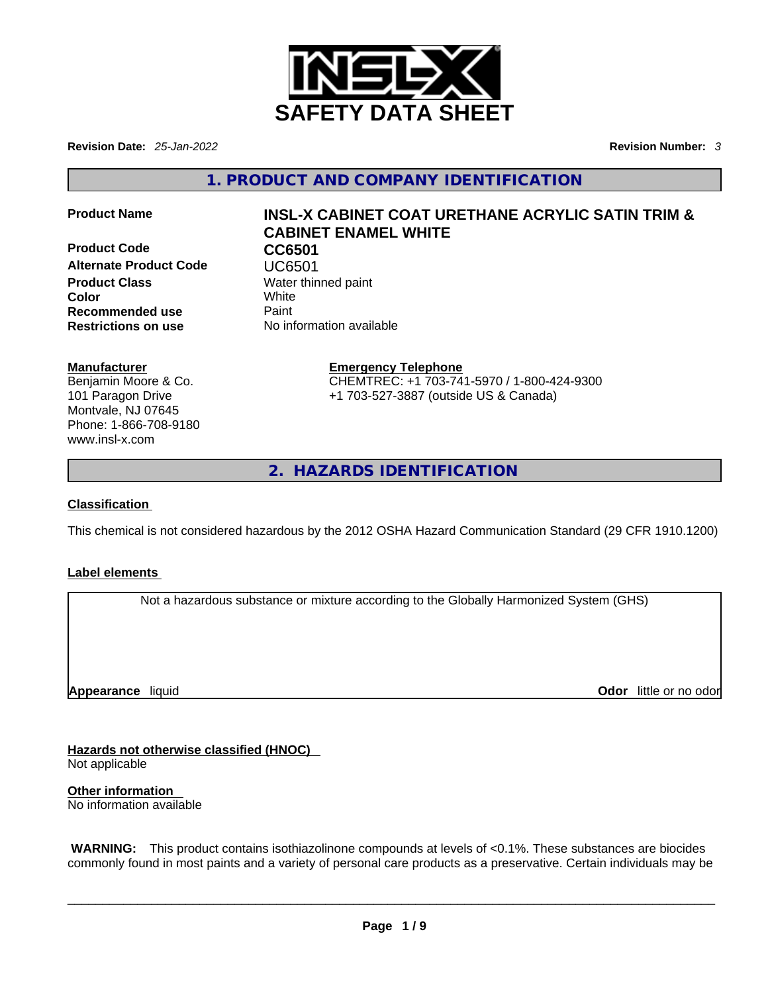

**Revision Date:** *25-Jan-2022* **Revision Number:** *3*

**1. PRODUCT AND COMPANY IDENTIFICATION** 

**Product Code CC6501 Alternate Product Code UC6501**<br> **Product Class** Water thin **Color Recommended use** Paint<br> **Restrictions on use** No inf

#### **Manufacturer**

Benjamin Moore & Co. 101 Paragon Drive Montvale, NJ 07645 Phone: 1-866-708-9180 www.insl-x.com

# **Product Name INSL-X CABINET COAT URETHANE ACRYLIC SATIN TRIM & CABINET ENAMEL WHITE**

**Water thinned paint**<br>White **Restrictions on use** No information available

> **Emergency Telephone** CHEMTREC: +1 703-741-5970 / 1-800-424-9300 +1 703-527-3887 (outside US & Canada)

**2. HAZARDS IDENTIFICATION** 

### **Classification**

This chemical is not considered hazardous by the 2012 OSHA Hazard Communication Standard (29 CFR 1910.1200)

#### **Label elements**

Not a hazardous substance or mixture according to the Globally Harmonized System (GHS)

**Appearance** liquid

**Odor** little or no odor

**Hazards not otherwise classified (HNOC)**  Not applicable

**Other information**  No information available

 **WARNING:** This product contains isothiazolinone compounds at levels of <0.1%. These substances are biocides commonly found in most paints and a variety of personal care products as a preservative. Certain individuals may be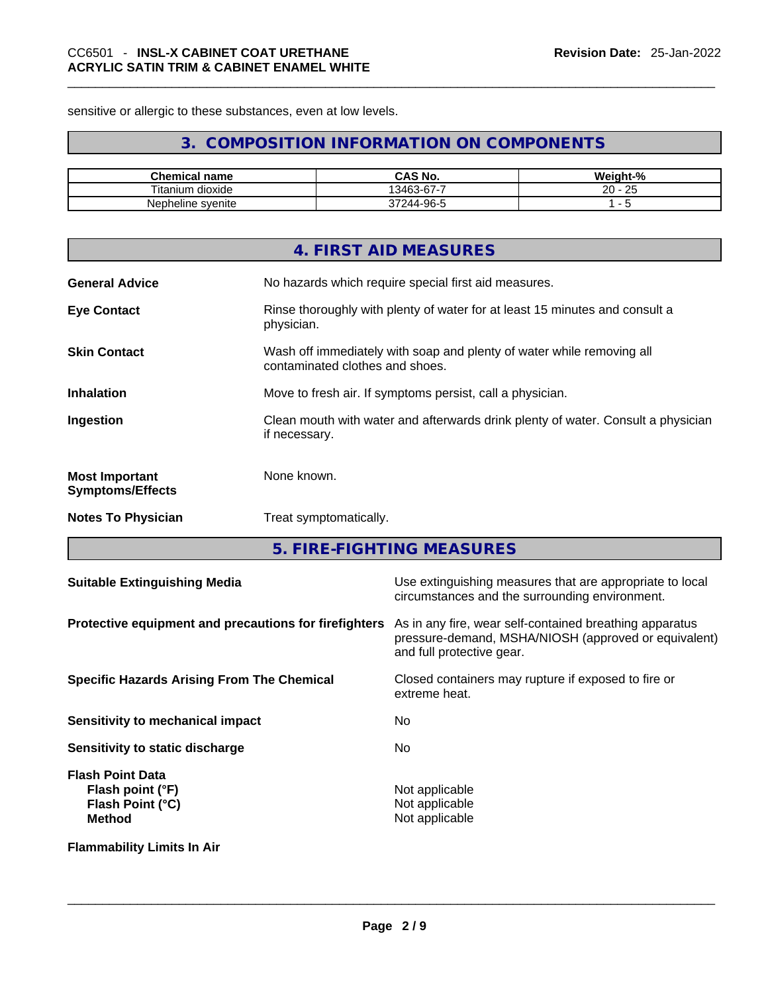sensitive or allergic to these substances, even at low levels.

# **3. COMPOSITION INFORMATION ON COMPONENTS**

| Chemical<br>' name  | <b>CAS No.</b>         | Weight-%             |
|---------------------|------------------------|----------------------|
| Titanium<br>dioxide | $03 - 67 - 7$<br>13463 | 20<br>$\Omega$<br>تت |
| Nepheline svenite   | 244-96-1               |                      |

|                                                  | 4. FIRST AID MEASURES                                                                                    |
|--------------------------------------------------|----------------------------------------------------------------------------------------------------------|
| <b>General Advice</b>                            | No hazards which require special first aid measures.                                                     |
| <b>Eye Contact</b>                               | Rinse thoroughly with plenty of water for at least 15 minutes and consult a<br>physician.                |
| <b>Skin Contact</b>                              | Wash off immediately with soap and plenty of water while removing all<br>contaminated clothes and shoes. |
| <b>Inhalation</b>                                | Move to fresh air. If symptoms persist, call a physician.                                                |
| Ingestion                                        | Clean mouth with water and afterwards drink plenty of water. Consult a physician<br>if necessary.        |
| <b>Most Important</b><br><b>Symptoms/Effects</b> | None known.                                                                                              |
| <b>Notes To Physician</b>                        | Treat symptomatically.                                                                                   |

**5. FIRE-FIGHTING MEASURES** 

| <b>Suitable Extinguishing Media</b>                                              | Use extinguishing measures that are appropriate to local<br>circumstances and the surrounding environment.                                   |
|----------------------------------------------------------------------------------|----------------------------------------------------------------------------------------------------------------------------------------------|
| Protective equipment and precautions for firefighters                            | As in any fire, wear self-contained breathing apparatus<br>pressure-demand, MSHA/NIOSH (approved or equivalent)<br>and full protective gear. |
| <b>Specific Hazards Arising From The Chemical</b>                                | Closed containers may rupture if exposed to fire or<br>extreme heat.                                                                         |
| Sensitivity to mechanical impact                                                 | No.                                                                                                                                          |
| Sensitivity to static discharge                                                  | No.                                                                                                                                          |
| <b>Flash Point Data</b><br>Flash point (°F)<br>Flash Point (°C)<br><b>Method</b> | Not applicable<br>Not applicable<br>Not applicable                                                                                           |
| <b>Flammability Limits In Air</b>                                                |                                                                                                                                              |
|                                                                                  |                                                                                                                                              |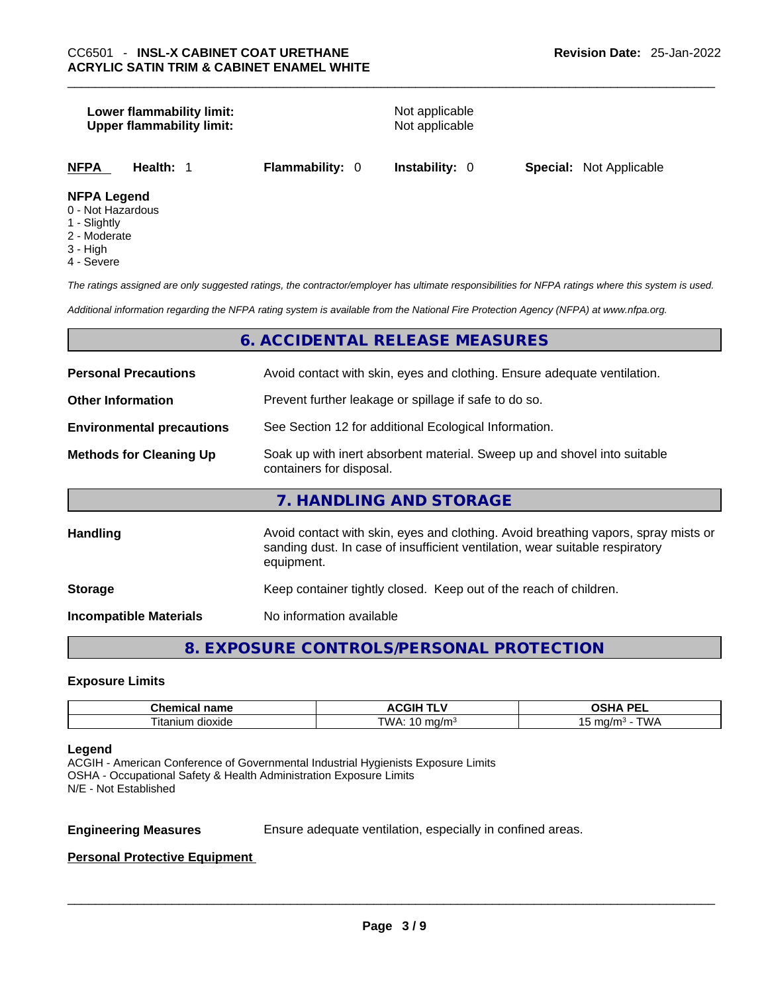# **Lower flammability limit:** Not applicable **Upper flammability limit:** Not applicable **NFPA Health:** 1 **Flammability:** 0 **Instability:** 0 **Special:** Not Applicable **NFPA Legend**

- 0 Not Hazardous
- 1 Slightly
- 2 Moderate
- 3 High
- 4 Severe

*The ratings assigned are only suggested ratings, the contractor/employer has ultimate responsibilities for NFPA ratings where this system is used.* 

*Additional information regarding the NFPA rating system is available from the National Fire Protection Agency (NFPA) at www.nfpa.org.* 

# **6. ACCIDENTAL RELEASE MEASURES**

| <b>Personal Precautions</b>      | Avoid contact with skin, eyes and clothing. Ensure adequate ventilation.                                                                                                         |  |  |
|----------------------------------|----------------------------------------------------------------------------------------------------------------------------------------------------------------------------------|--|--|
| <b>Other Information</b>         | Prevent further leakage or spillage if safe to do so.                                                                                                                            |  |  |
| <b>Environmental precautions</b> | See Section 12 for additional Ecological Information.                                                                                                                            |  |  |
| <b>Methods for Cleaning Up</b>   | Soak up with inert absorbent material. Sweep up and shovel into suitable<br>containers for disposal.                                                                             |  |  |
|                                  | 7. HANDLING AND STORAGE                                                                                                                                                          |  |  |
| <b>Handling</b>                  | Avoid contact with skin, eyes and clothing. Avoid breathing vapors, spray mists or<br>sanding dust. In case of insufficient ventilation, wear suitable respiratory<br>equipment. |  |  |
| <b>Storage</b>                   | Keep container tightly closed. Keep out of the reach of children.                                                                                                                |  |  |
| <b>Incompatible Materials</b>    | No information available                                                                                                                                                         |  |  |

# **8. EXPOSURE CONTROLS/PERSONAL PROTECTION**

#### **Exposure Limits**

| $\sim$ $\sim$ $\sim$ $\sim$ $\sim$<br>$\blacksquare$<br>⊾ne<br>ш<br>панк | .GIP                | <b>DE</b><br>$\mathbf{r}$<br>--<br>-- |
|--------------------------------------------------------------------------|---------------------|---------------------------------------|
| --<br>dioxide<br>⊺ıtanıum                                                | TWA<br>.na/m<br>. . | $m \sim \mu$<br>n r<br>. . 0/ F<br>.  |

#### **Legend**

ACGIH - American Conference of Governmental Industrial Hygienists Exposure Limits OSHA - Occupational Safety & Health Administration Exposure Limits N/E - Not Established

**Engineering Measures** Ensure adequate ventilation, especially in confined areas.

#### **Personal Protective Equipment**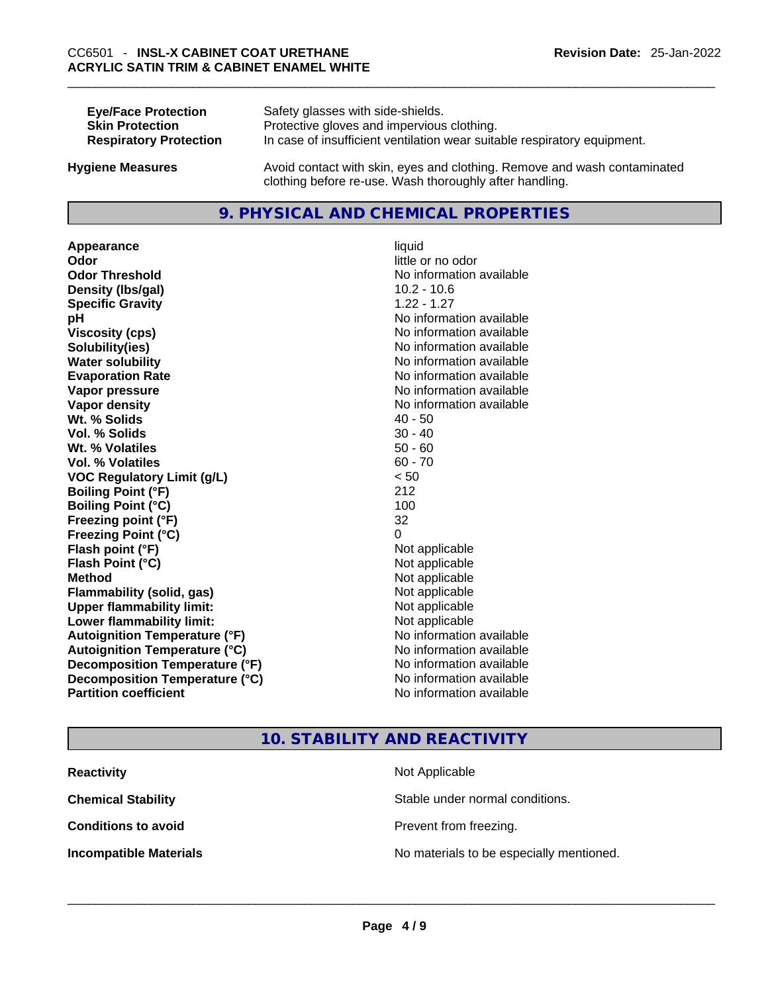| <b>Eye/Face Protection</b>    | Safety glasses with side-shields.                                        |
|-------------------------------|--------------------------------------------------------------------------|
| <b>Skin Protection</b>        | Protective gloves and impervious clothing.                               |
| <b>Respiratory Protection</b> | In case of insufficient ventilation wear suitable respiratory equipment. |
|                               |                                                                          |

**Hygiene Measures** Avoid contact with skin, eyes and clothing. Remove and wash contaminated clothing before re-use. Wash thoroughly after handling.

# **9. PHYSICAL AND CHEMICAL PROPERTIES**

Appearance liquid **Odor Odor Odor Odor Odor Odor** *little* **or no odor Odor Threshold** No information available **Density (Ibs/gal)** 10.2 - 10.6<br> **Specific Gravity** 1.22 - 1.27 **Specific Gravity pH pH** *No* information available **Viscosity (cps) Viscosity (cps) No information available Solubility(ies)** No information available **Water solubility No information available No information available Evaporation Rate Note 2008 No information available Note 2008 No information available Vapor pressure No information available No information available Vapor density No information available No information available Wt. % Solids** 40 - 50 **Vol. % Solids** 30 - 40 **Wt. % Volatiles** 50 - 60 **Vol. % Volatiles VOC Regulatory Limit (g/L)** < 50 **Boiling Point (°F)** 212 **Boiling Point (°C)** 100 **Freezing point (°F)** 32 **Freezing Point (°C)** 0 **Flash point (°F)** Not applicable **Flash Point (°C)** Not applicable **Method** Not applicable **Flammability (solid, gas)**<br> **Upper flammability limit:**<br>
Upper flammability limit:<br>  $\begin{array}{ccc}\n\bullet & \bullet & \bullet \\
\bullet & \bullet & \bullet\n\end{array}$  Not applicable **Upper flammability limit:**<br> **Lower flammability limit:** Not applicable Not applicable **Lower flammability limit: Autoignition Temperature (°F)** No information available **Autoignition Temperature (°C)** No information available **Decomposition Temperature (°F)** No information available **Decomposition Temperature (°C)** No information available **Partition coefficient** No information available

# **10. STABILITY AND REACTIVITY**

**Reactivity Not Applicable Not Applicable Chemical Stability Stable under normal conditions. Conditions to avoid Conditions to avoid Prevent from freezing. Incompatible Materials** No materials to be especially mentioned. \_\_\_\_\_\_\_\_\_\_\_\_\_\_\_\_\_\_\_\_\_\_\_\_\_\_\_\_\_\_\_\_\_\_\_\_\_\_\_\_\_\_\_\_\_\_\_\_\_\_\_\_\_\_\_\_\_\_\_\_\_\_\_\_\_\_\_\_\_\_\_\_\_\_\_\_\_\_\_\_\_\_\_\_\_\_\_\_\_\_\_\_\_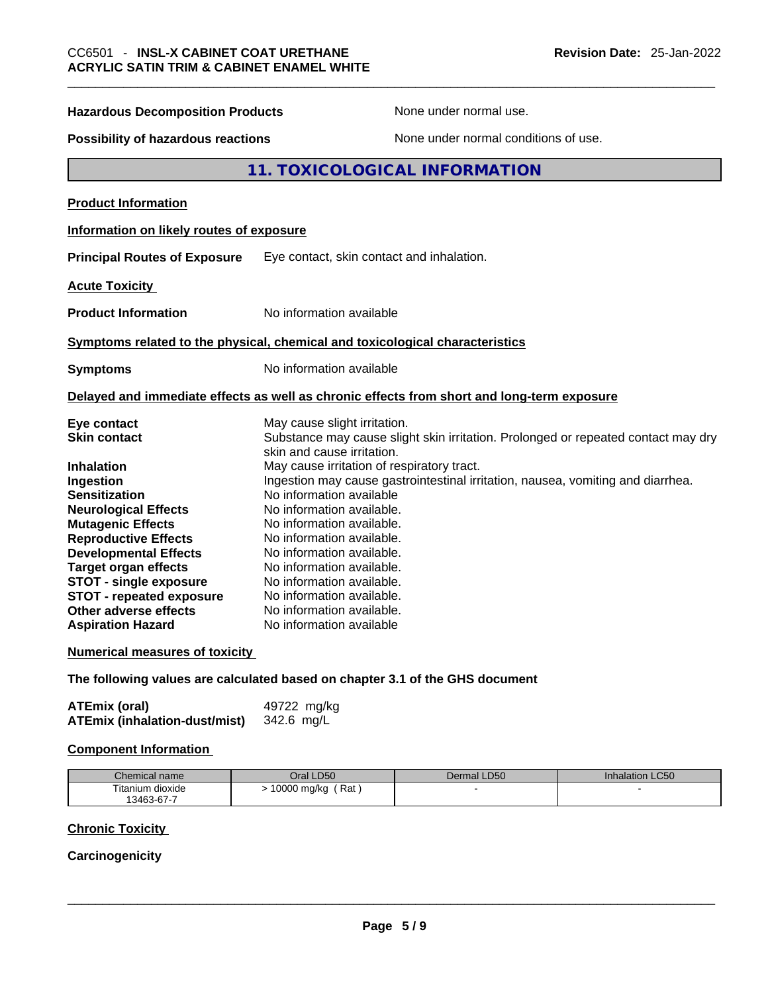| <b>Hazardous Decomposition Products</b>                                                                                                                                                                                                                                                                                                  | None under normal use.                                                                                                                                                                                                                                                                                                                                                                                                        |  |  |
|------------------------------------------------------------------------------------------------------------------------------------------------------------------------------------------------------------------------------------------------------------------------------------------------------------------------------------------|-------------------------------------------------------------------------------------------------------------------------------------------------------------------------------------------------------------------------------------------------------------------------------------------------------------------------------------------------------------------------------------------------------------------------------|--|--|
| <b>Possibility of hazardous reactions</b>                                                                                                                                                                                                                                                                                                | None under normal conditions of use.                                                                                                                                                                                                                                                                                                                                                                                          |  |  |
| 11. TOXICOLOGICAL INFORMATION                                                                                                                                                                                                                                                                                                            |                                                                                                                                                                                                                                                                                                                                                                                                                               |  |  |
| <b>Product Information</b>                                                                                                                                                                                                                                                                                                               |                                                                                                                                                                                                                                                                                                                                                                                                                               |  |  |
| Information on likely routes of exposure                                                                                                                                                                                                                                                                                                 |                                                                                                                                                                                                                                                                                                                                                                                                                               |  |  |
| <b>Principal Routes of Exposure</b>                                                                                                                                                                                                                                                                                                      | Eye contact, skin contact and inhalation.                                                                                                                                                                                                                                                                                                                                                                                     |  |  |
| <b>Acute Toxicity</b>                                                                                                                                                                                                                                                                                                                    |                                                                                                                                                                                                                                                                                                                                                                                                                               |  |  |
| <b>Product Information</b>                                                                                                                                                                                                                                                                                                               | No information available                                                                                                                                                                                                                                                                                                                                                                                                      |  |  |
|                                                                                                                                                                                                                                                                                                                                          | Symptoms related to the physical, chemical and toxicological characteristics                                                                                                                                                                                                                                                                                                                                                  |  |  |
| <b>Symptoms</b>                                                                                                                                                                                                                                                                                                                          | No information available                                                                                                                                                                                                                                                                                                                                                                                                      |  |  |
|                                                                                                                                                                                                                                                                                                                                          | Delayed and immediate effects as well as chronic effects from short and long-term exposure                                                                                                                                                                                                                                                                                                                                    |  |  |
| Eye contact<br><b>Skin contact</b>                                                                                                                                                                                                                                                                                                       | May cause slight irritation.<br>Substance may cause slight skin irritation. Prolonged or repeated contact may dry<br>skin and cause irritation.                                                                                                                                                                                                                                                                               |  |  |
| <b>Inhalation</b><br>Ingestion<br><b>Sensitization</b><br><b>Neurological Effects</b><br><b>Mutagenic Effects</b><br><b>Reproductive Effects</b><br><b>Developmental Effects</b><br><b>Target organ effects</b><br><b>STOT - single exposure</b><br><b>STOT - repeated exposure</b><br>Other adverse effects<br><b>Aspiration Hazard</b> | May cause irritation of respiratory tract.<br>Ingestion may cause gastrointestinal irritation, nausea, vomiting and diarrhea.<br>No information available<br>No information available.<br>No information available.<br>No information available.<br>No information available.<br>No information available.<br>No information available.<br>No information available.<br>No information available.<br>No information available |  |  |
| <b>Numerical measures of toxicity</b>                                                                                                                                                                                                                                                                                                    |                                                                                                                                                                                                                                                                                                                                                                                                                               |  |  |
|                                                                                                                                                                                                                                                                                                                                          | The following values are calculated based on chapter 3.1 of the GHS document                                                                                                                                                                                                                                                                                                                                                  |  |  |
| <b>ATEmix (oral)</b><br><b>ATEmix (inhalation-dust/mist)</b>                                                                                                                                                                                                                                                                             | 49722 mg/kg<br>342.6 mg/L                                                                                                                                                                                                                                                                                                                                                                                                     |  |  |

#### **Component Information**

| Chemical name    | Oral LD50            | Dermal LD50 | <b>Inhalation LC50</b> |
|------------------|----------------------|-------------|------------------------|
| Titanium dioxide | ′ Rat<br>10000 mg/kg |             |                        |
| 13463-67-7       |                      |             |                        |

# **Chronic Toxicity**

# **Carcinogenicity**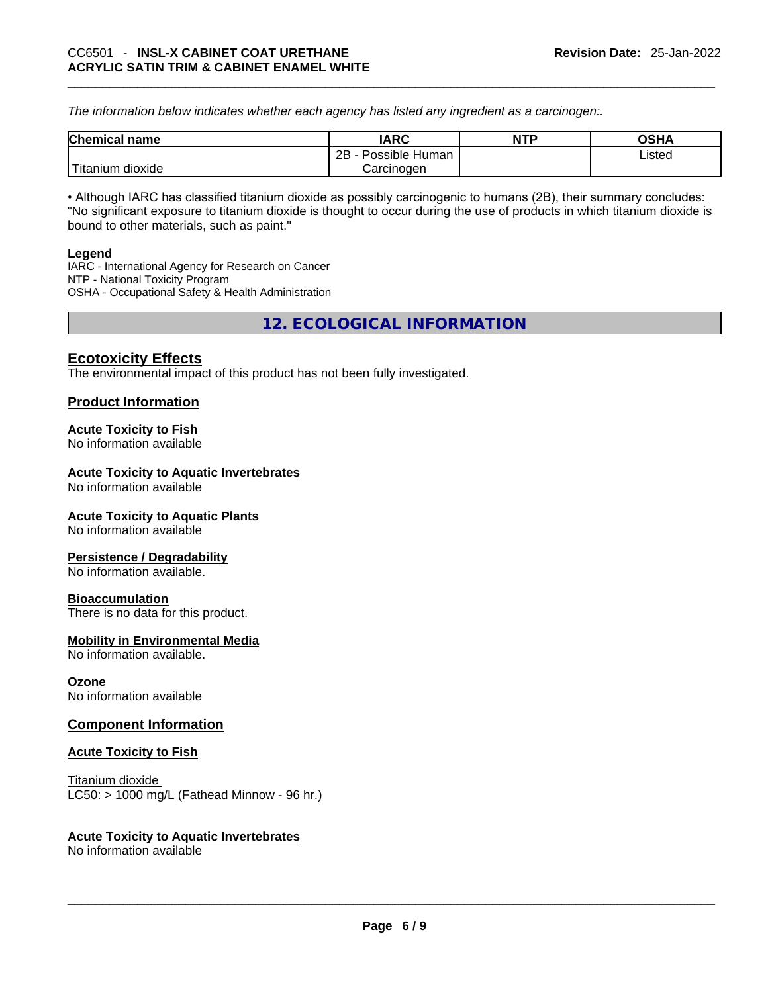*The information below indicates whether each agency has listed any ingredient as a carcinogen:.* 

| <b>Chemical name</b>  | IARC                 | <b>NTP</b> | OSHA   |
|-----------------------|----------------------|------------|--------|
|                       | 2B<br>Possible Human |            | Listed |
| Titanium 、<br>dioxide | Carcinoɑen           |            |        |

• Although IARC has classified titanium dioxide as possibly carcinogenic to humans (2B), their summary concludes: "No significant exposure to titanium dioxide is thought to occur during the use of products in which titanium dioxide is bound to other materials, such as paint."

#### **Legend**

IARC - International Agency for Research on Cancer NTP - National Toxicity Program OSHA - Occupational Safety & Health Administration

**12. ECOLOGICAL INFORMATION** 

# **Ecotoxicity Effects**

The environmental impact of this product has not been fully investigated.

#### **Product Information**

#### **Acute Toxicity to Fish**

No information available

#### **Acute Toxicity to Aquatic Invertebrates**

No information available

#### **Acute Toxicity to Aquatic Plants**

No information available

#### **Persistence / Degradability**

No information available.

#### **Bioaccumulation**

There is no data for this product.

#### **Mobility in Environmental Media**

No information available.

#### **Ozone**

No information available

#### **Component Information**

#### **Acute Toxicity to Fish**

Titanium dioxide  $LC50:$  > 1000 mg/L (Fathead Minnow - 96 hr.)

#### **Acute Toxicity to Aquatic Invertebrates**

No information available \_\_\_\_\_\_\_\_\_\_\_\_\_\_\_\_\_\_\_\_\_\_\_\_\_\_\_\_\_\_\_\_\_\_\_\_\_\_\_\_\_\_\_\_\_\_\_\_\_\_\_\_\_\_\_\_\_\_\_\_\_\_\_\_\_\_\_\_\_\_\_\_\_\_\_\_\_\_\_\_\_\_\_\_\_\_\_\_\_\_\_\_\_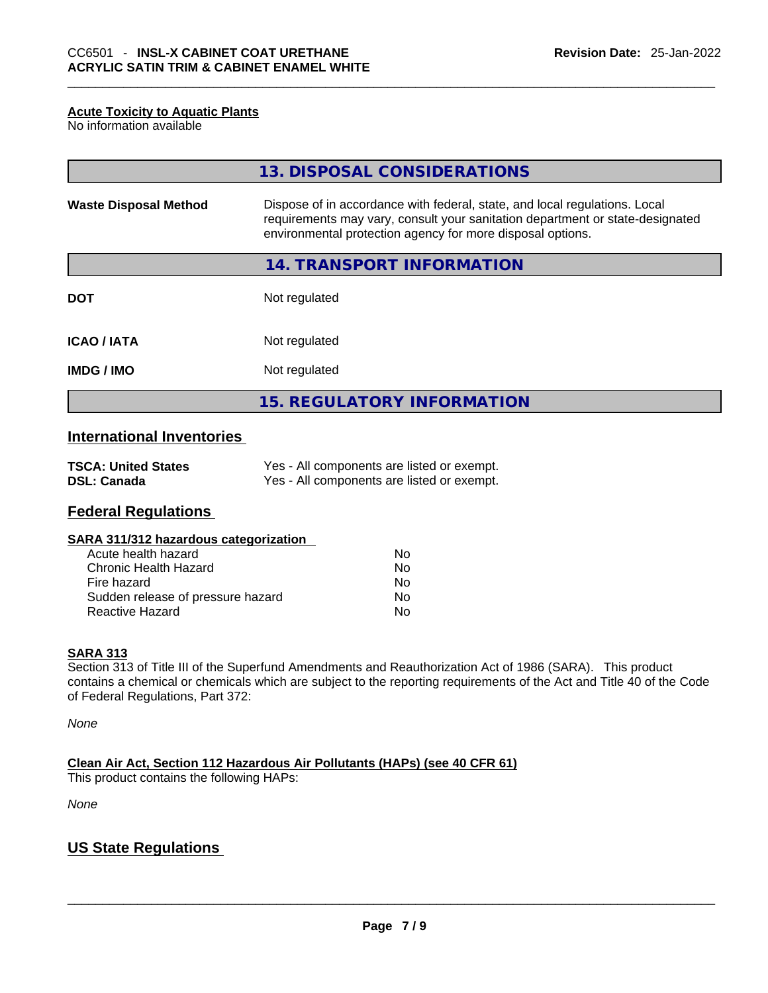#### **Acute Toxicity to Aquatic Plants**

No information available

|                              | 13. DISPOSAL CONSIDERATIONS                                                                                                                                                                                               |
|------------------------------|---------------------------------------------------------------------------------------------------------------------------------------------------------------------------------------------------------------------------|
| <b>Waste Disposal Method</b> | Dispose of in accordance with federal, state, and local regulations. Local<br>requirements may vary, consult your sanitation department or state-designated<br>environmental protection agency for more disposal options. |
|                              | 14. TRANSPORT INFORMATION                                                                                                                                                                                                 |
| <b>DOT</b>                   | Not regulated                                                                                                                                                                                                             |
| <b>ICAO/IATA</b>             | Not regulated                                                                                                                                                                                                             |
| <b>IMDG / IMO</b>            | Not regulated                                                                                                                                                                                                             |
|                              | <b>15. REGULATORY INFORMATION</b>                                                                                                                                                                                         |

# **International Inventories**

| <b>TSCA: United States</b> | Yes - All components are listed or exempt. |
|----------------------------|--------------------------------------------|
| <b>DSL: Canada</b>         | Yes - All components are listed or exempt. |

### **Federal Regulations**

| SARA 311/312 hazardous categorization |  |
|---------------------------------------|--|
|---------------------------------------|--|

| Acute health hazard               | Nο |
|-----------------------------------|----|
| Chronic Health Hazard             | Nο |
| Fire hazard                       | No |
| Sudden release of pressure hazard | No |
| <b>Reactive Hazard</b>            | N٥ |

#### **SARA 313**

Section 313 of Title III of the Superfund Amendments and Reauthorization Act of 1986 (SARA). This product contains a chemical or chemicals which are subject to the reporting requirements of the Act and Title 40 of the Code of Federal Regulations, Part 372:

*None*

**Clean Air Act,Section 112 Hazardous Air Pollutants (HAPs) (see 40 CFR 61)** This product contains the following HAPs:

*None*

# **US State Regulations**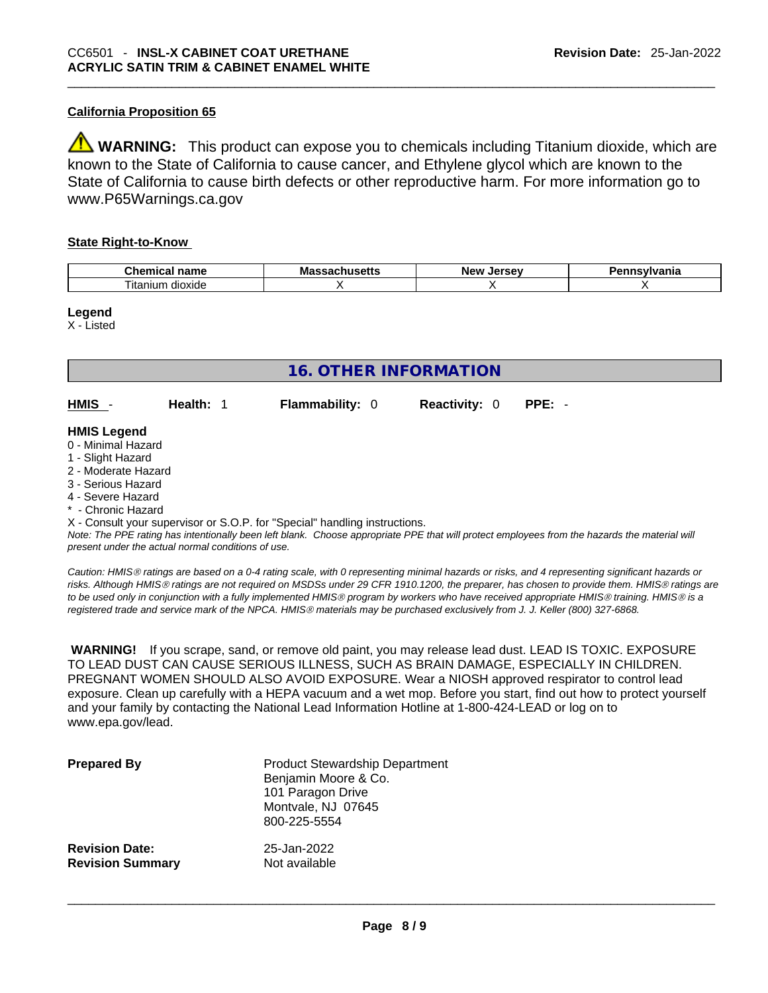### **California Proposition 65**

**WARNING:** This product can expose you to chemicals including Titanium dioxide, which are known to the State of California to cause cancer, and Ethylene glycol which are known to the State of California to cause birth defects or other reproductive harm. For more information go to www.P65Warnings.ca.gov

#### **State Right-to-Know**

| АL<br>$  -$<br>- -- -<br>…ne·<br>паше | Μa<br>. | . <i>.</i><br>нс |
|---------------------------------------|---------|------------------|
| --<br>dioxide<br>ıtanıum              |         |                  |

#### **Legend**

X - Listed

| <b>16. OTHER INFORMATION</b>                                                                                                                          |                                                    |                                                                            |                      |                                                                                                                                               |  |  |
|-------------------------------------------------------------------------------------------------------------------------------------------------------|----------------------------------------------------|----------------------------------------------------------------------------|----------------------|-----------------------------------------------------------------------------------------------------------------------------------------------|--|--|
| HMIS                                                                                                                                                  | Health: 1                                          | <b>Flammability: 0</b>                                                     | <b>Reactivity: 0</b> | $PPE: -$                                                                                                                                      |  |  |
| <b>HMIS Legend</b><br>0 - Minimal Hazard<br>1 - Slight Hazard<br>2 - Moderate Hazard<br>3 - Serious Hazard<br>4 - Severe Hazard<br>* - Chronic Hazard |                                                    |                                                                            |                      |                                                                                                                                               |  |  |
|                                                                                                                                                       | present under the actual normal conditions of use. | X - Consult your supervisor or S.O.P. for "Special" handling instructions. |                      | Note: The PPE rating has intentionally been left blank. Choose appropriate PPE that will protect employees from the hazards the material will |  |  |

*Caution: HMISÒ ratings are based on a 0-4 rating scale, with 0 representing minimal hazards or risks, and 4 representing significant hazards or risks. Although HMISÒ ratings are not required on MSDSs under 29 CFR 1910.1200, the preparer, has chosen to provide them. HMISÒ ratings are to be used only in conjunction with a fully implemented HMISÒ program by workers who have received appropriate HMISÒ training. HMISÒ is a registered trade and service mark of the NPCA. HMISÒ materials may be purchased exclusively from J. J. Keller (800) 327-6868.* 

 **WARNING!** If you scrape, sand, or remove old paint, you may release lead dust. LEAD IS TOXIC. EXPOSURE TO LEAD DUST CAN CAUSE SERIOUS ILLNESS, SUCH AS BRAIN DAMAGE, ESPECIALLY IN CHILDREN. PREGNANT WOMEN SHOULD ALSO AVOID EXPOSURE.Wear a NIOSH approved respirator to control lead exposure. Clean up carefully with a HEPA vacuum and a wet mop. Before you start, find out how to protect yourself and your family by contacting the National Lead Information Hotline at 1-800-424-LEAD or log on to www.epa.gov/lead.

| <b>Prepared By</b>      | <b>Product Stewardship Department</b><br>Benjamin Moore & Co.<br>101 Paragon Drive<br>Montvale, NJ 07645<br>800-225-5554 |
|-------------------------|--------------------------------------------------------------------------------------------------------------------------|
| <b>Revision Date:</b>   | 25-Jan-2022                                                                                                              |
| <b>Revision Summary</b> | Not available                                                                                                            |